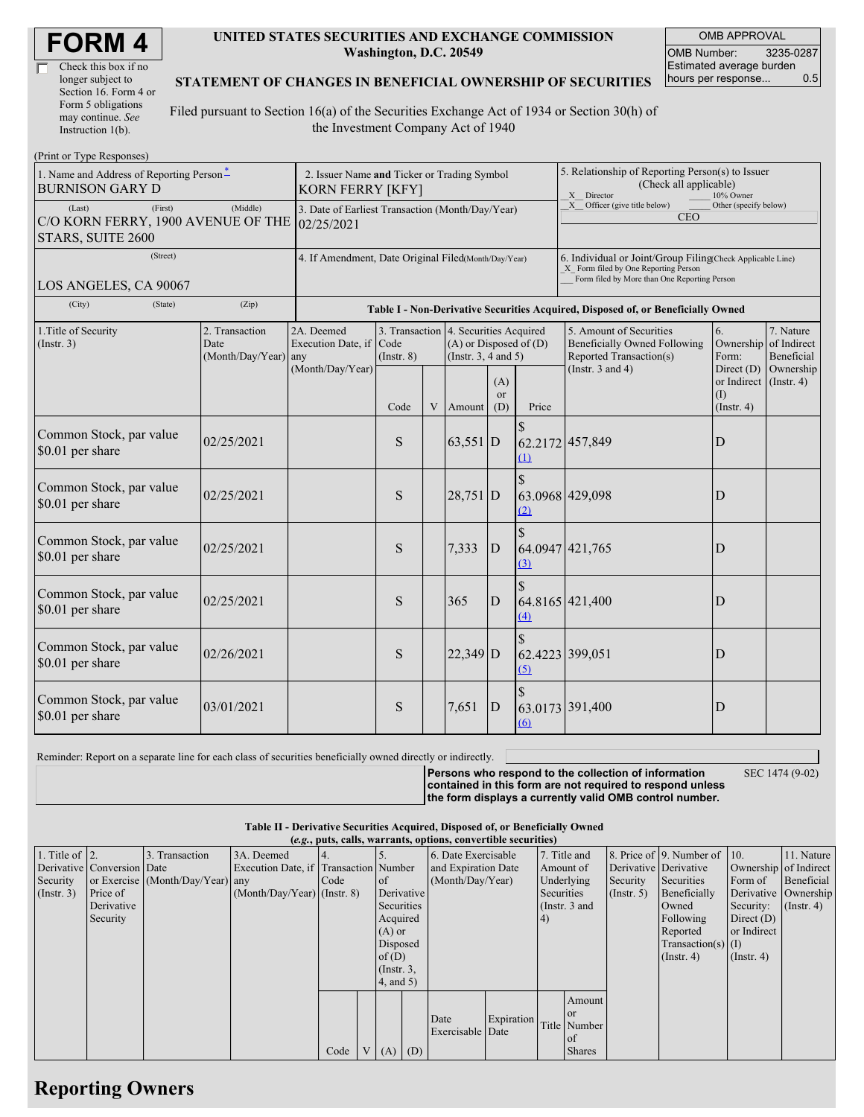| Check this box if no  |
|-----------------------|
| longer subject to     |
| Section 16. Form 4 or |
| Form 5 obligations    |
| may continue. See     |
| Instruction 1(b).     |

#### **UNITED STATES SECURITIES AND EXCHANGE COMMISSION Washington, D.C. 20549**

OMB APPROVAL OMB Number: 3235-0287 Estimated average burden hours per response... 0.5

### **STATEMENT OF CHANGES IN BENEFICIAL OWNERSHIP OF SECURITIES**

Filed pursuant to Section 16(a) of the Securities Exchange Act of 1934 or Section 30(h) of the Investment Company Act of 1940

| (Print or Type Responses)                                                    |                                                                                                                                                                                                                                     |                                                                                  |           |                                                                                                                                                                     |            |                                      |                                                                                                                                                    |                 |                                        |                  |  |
|------------------------------------------------------------------------------|-------------------------------------------------------------------------------------------------------------------------------------------------------------------------------------------------------------------------------------|----------------------------------------------------------------------------------|-----------|---------------------------------------------------------------------------------------------------------------------------------------------------------------------|------------|--------------------------------------|----------------------------------------------------------------------------------------------------------------------------------------------------|-----------------|----------------------------------------|------------------|--|
| 1. Name and Address of Reporting Person-<br><b>BURNISON GARY D</b>           | 2. Issuer Name and Ticker or Trading Symbol<br><b>KORN FERRY [KFY]</b>                                                                                                                                                              |                                                                                  |           |                                                                                                                                                                     |            |                                      | 5. Relationship of Reporting Person(s) to Issuer<br>(Check all applicable)<br>X Director<br>10% Owner                                              |                 |                                        |                  |  |
| (Last)<br>(First)<br>C/O KORN FERRY, 1900 AVENUE OF THE<br>STARS, SUITE 2600 | 3. Date of Earliest Transaction (Month/Day/Year)<br>02/25/2021                                                                                                                                                                      |                                                                                  |           |                                                                                                                                                                     |            |                                      | X Officer (give title below)<br>Other (specify below)<br><b>CEO</b>                                                                                |                 |                                        |                  |  |
| (Street)<br>LOS ANGELES, CA 90067                                            | 4. If Amendment, Date Original Filed(Month/Day/Year)                                                                                                                                                                                |                                                                                  |           |                                                                                                                                                                     |            |                                      | 6. Individual or Joint/Group Filing(Check Applicable Line)<br>X Form filed by One Reporting Person<br>Form filed by More than One Reporting Person |                 |                                        |                  |  |
| (State)<br>(City)                                                            |                                                                                                                                                                                                                                     | Table I - Non-Derivative Securities Acquired, Disposed of, or Beneficially Owned |           |                                                                                                                                                                     |            |                                      |                                                                                                                                                    |                 |                                        |                  |  |
| 1. Title of Security<br>(Insert. 3)                                          | 2. Transaction<br>2A. Deemed<br>3. Transaction 4. Securities Acquired<br>Code<br>$(A)$ or Disposed of $(D)$<br>Date<br>Execution Date, if<br>(Month/Day/Year)<br>(Insert. 3, 4 and 5)<br>$($ Instr. $8)$<br>any<br>(Month/Day/Year) |                                                                                  |           | 6.<br>5. Amount of Securities<br>Beneficially Owned Following<br>Ownership of Indirect<br>Reported Transaction(s)<br>Form:<br>(Instr. $3$ and $4$ )<br>Direct $(D)$ |            | 7. Nature<br>Beneficial<br>Ownership |                                                                                                                                                    |                 |                                        |                  |  |
|                                                                              |                                                                                                                                                                                                                                     |                                                                                  | Code      |                                                                                                                                                                     | V Amount   | (A)<br><sub>or</sub><br>(D)          | Price                                                                                                                                              |                 | or Indirect<br>(1)<br>$($ Instr. 4 $)$ | $($ Instr. 4 $)$ |  |
| Common Stock, par value<br>\$0.01 per share                                  | 02/25/2021                                                                                                                                                                                                                          |                                                                                  | S         |                                                                                                                                                                     | $63,551$ D |                                      | (1)                                                                                                                                                | 62.2172 457,849 | D                                      |                  |  |
| Common Stock, par value<br>\$0.01 per share                                  | 02/25/2021                                                                                                                                                                                                                          |                                                                                  | S         |                                                                                                                                                                     | $28,751$ D |                                      | (2)                                                                                                                                                | 63.0968 429,098 | D                                      |                  |  |
| Common Stock, par value<br>\$0.01 per share                                  | 02/25/2021                                                                                                                                                                                                                          |                                                                                  | ${\bf S}$ |                                                                                                                                                                     | 7,333      | D                                    | (3)                                                                                                                                                | 64.0947 421,765 | D                                      |                  |  |
| Common Stock, par value<br>\$0.01 per share                                  | 02/25/2021                                                                                                                                                                                                                          |                                                                                  | S         |                                                                                                                                                                     | 365        | $\mathbf D$                          | $\hat{\mathbf{S}}$<br>(4)                                                                                                                          | 64.8165 421,400 | D                                      |                  |  |
| Common Stock, par value<br>\$0.01 per share                                  | 02/26/2021                                                                                                                                                                                                                          |                                                                                  | S         |                                                                                                                                                                     | $22,349$ D |                                      | (5)                                                                                                                                                | 62.4223 399,051 | D                                      |                  |  |
| Common Stock, par value<br>\$0.01 per share                                  | 03/01/2021                                                                                                                                                                                                                          |                                                                                  | S         |                                                                                                                                                                     | 7,651      | $\mathbf{D}$                         | (6)                                                                                                                                                | 63.0173 391,400 | D                                      |                  |  |

Reminder: Report on a separate line for each class of securities beneficially owned directly or indirectly.

**Persons who respond to the collection of information contained in this form are not required to respond unless the form displays a currently valid OMB control number.**

SEC 1474 (9-02)

# **Table II - Derivative Securities Acquired, Disposed of, or Beneficially Owned**

| (e.g., puts, calls, warrants, options, convertible securities) |                            |                                  |                                       |      |  |                 |                     |                     |            |               |               |                  |                              |                       |                  |
|----------------------------------------------------------------|----------------------------|----------------------------------|---------------------------------------|------|--|-----------------|---------------------|---------------------|------------|---------------|---------------|------------------|------------------------------|-----------------------|------------------|
| 1. Title of $\vert$ 2.                                         |                            | 3. Transaction                   | 3A. Deemed                            |      |  |                 |                     | 6. Date Exercisable |            | 7. Title and  |               |                  | 8. Price of 9. Number of 10. |                       | 11. Nature       |
|                                                                | Derivative Conversion Date |                                  | Execution Date, if Transaction Number |      |  |                 | and Expiration Date |                     |            | Amount of     |               |                  | Derivative Derivative        | Ownership of Indirect |                  |
| Security                                                       |                            | or Exercise (Month/Day/Year) any |                                       | Code |  | of              |                     | (Month/Day/Year)    |            |               | Underlying    | Security         | Securities                   | Form of               | Beneficial       |
| $($ Instr. 3 $)$                                               | Price of                   |                                  | $(Month/Day/Year)$ (Instr. 8)         |      |  | Derivative      |                     |                     |            |               | Securities    | $($ Instr. 5 $)$ | Beneficially                 | Derivative Ownership  |                  |
|                                                                | Derivative                 |                                  |                                       |      |  | Securities      |                     |                     |            | (Instr. 3 and |               |                  | Owned                        | Security:             | $($ Instr. 4 $)$ |
|                                                                | Security                   |                                  |                                       |      |  | Acquired        |                     |                     |            | 4)            |               |                  | Following                    | Direct $(D)$          |                  |
|                                                                |                            |                                  |                                       |      |  | $(A)$ or        |                     |                     |            |               |               |                  | Reported                     | or Indirect           |                  |
|                                                                |                            |                                  |                                       |      |  | Disposed        |                     |                     |            |               |               |                  | Transaction(s) $(I)$         |                       |                  |
|                                                                |                            |                                  |                                       |      |  | of $(D)$        |                     |                     |            |               |               |                  | $($ Instr. 4 $)$             | $($ Instr. 4 $)$      |                  |
|                                                                |                            |                                  |                                       |      |  | $($ Instr. $3,$ |                     |                     |            |               |               |                  |                              |                       |                  |
|                                                                |                            |                                  |                                       |      |  | $4$ , and $5$ ) |                     |                     |            |               |               |                  |                              |                       |                  |
|                                                                |                            |                                  |                                       |      |  |                 |                     |                     |            |               | Amount        |                  |                              |                       |                  |
|                                                                |                            |                                  |                                       |      |  |                 |                     |                     |            |               | or            |                  |                              |                       |                  |
|                                                                |                            |                                  |                                       |      |  |                 |                     | Date                | Expiration |               | Title Number  |                  |                              |                       |                  |
|                                                                |                            |                                  |                                       |      |  |                 |                     | Exercisable Date    |            |               | of            |                  |                              |                       |                  |
|                                                                |                            |                                  |                                       | Code |  | $V(A)$ (D)      |                     |                     |            |               | <b>Shares</b> |                  |                              |                       |                  |

# **Reporting Owners**